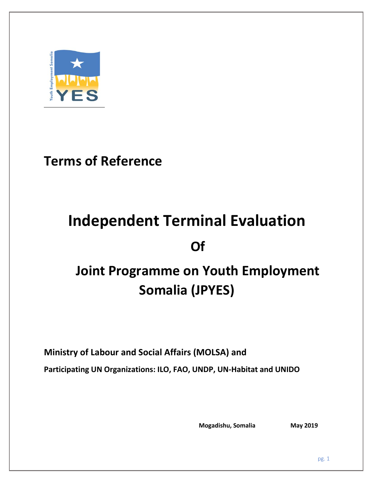

# **Terms of Reference**

# **Independent Terminal Evaluation Of**

# **Joint Programme on Youth Employment Somalia (JPYES)**

**Ministry of Labour and Social Affairs (MOLSA) and** 

**Participating UN Organizations: ILO, FAO, UNDP, UN-Habitat and UNIDO**

**Mogadishu, Somalia** May 2019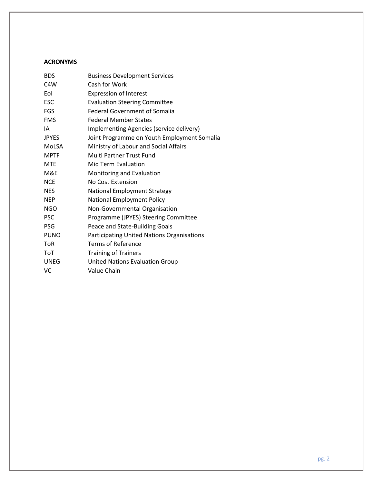# **ACRONYMS**

| <b>BDS</b>       | <b>Business Development Services</b>              |
|------------------|---------------------------------------------------|
| C <sub>4</sub> W | Cash for Work                                     |
| Eol              | <b>Expression of Interest</b>                     |
| <b>ESC</b>       | <b>Evaluation Steering Committee</b>              |
| <b>FGS</b>       | <b>Federal Government of Somalia</b>              |
| <b>FMS</b>       | <b>Federal Member States</b>                      |
| IA               | Implementing Agencies (service delivery)          |
| <b>JPYES</b>     | Joint Programme on Youth Employment Somalia       |
| MoLSA            | Ministry of Labour and Social Affairs             |
| <b>MPTF</b>      | <b>Multi Partner Trust Fund</b>                   |
| <b>MTE</b>       | Mid Term Evaluation                               |
| M&E              | Monitoring and Evaluation                         |
| <b>NCE</b>       | No Cost Extension                                 |
| <b>NES</b>       | <b>National Employment Strategy</b>               |
| <b>NEP</b>       | <b>National Employment Policy</b>                 |
| <b>NGO</b>       | Non-Governmental Organisation                     |
| <b>PSC</b>       | Programme (JPYES) Steering Committee              |
| <b>PSG</b>       | Peace and State-Building Goals                    |
| <b>PUNO</b>      | <b>Participating United Nations Organisations</b> |
| <b>ToR</b>       | <b>Terms of Reference</b>                         |
| <b>ToT</b>       | <b>Training of Trainers</b>                       |
| <b>UNEG</b>      | <b>United Nations Evaluation Group</b>            |
| VC               | Value Chain                                       |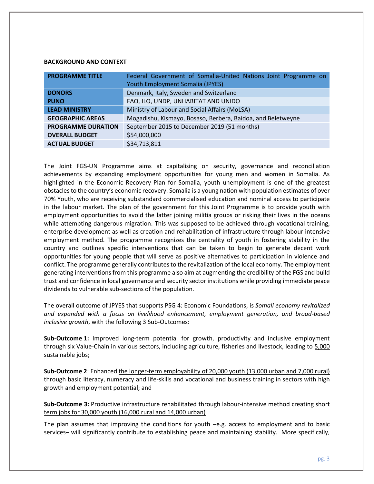#### **BACKGROUND AND CONTEXT**

| <b>PROGRAMME TITLE</b>    | Federal Government of Somalia-United Nations Joint Programme on<br>Youth Employment Somalia (JPYES) |  |  |  |  |
|---------------------------|-----------------------------------------------------------------------------------------------------|--|--|--|--|
|                           |                                                                                                     |  |  |  |  |
| <b>DONORS</b>             | Denmark, Italy, Sweden and Switzerland                                                              |  |  |  |  |
| <b>PUNO</b>               | FAO, ILO, UNDP, UNHABITAT AND UNIDO                                                                 |  |  |  |  |
| <b>LEAD MINISTRY</b>      | Ministry of Labour and Social Affairs (MoLSA)                                                       |  |  |  |  |
| <b>GEOGRAPHIC AREAS</b>   | Mogadishu, Kismayo, Bosaso, Berbera, Baidoa, and Beletweyne                                         |  |  |  |  |
| <b>PROGRAMME DURATION</b> | September 2015 to December 2019 (51 months)                                                         |  |  |  |  |
| <b>OVERALL BUDGET</b>     | \$54,000,000                                                                                        |  |  |  |  |
| <b>ACTUAL BUDGET</b>      | \$34,713,811                                                                                        |  |  |  |  |

The Joint FGS-UN Programme aims at capitalising on security, governance and reconciliation achievements by expanding employment opportunities for young men and women in Somalia. As highlighted in the Economic Recovery Plan for Somalia, youth unemployment is one of the greatest obstacles to the country's economic recovery. Somalia is a young nation with population estimates of over 70% Youth, who are receiving substandard commercialised education and nominal access to participate in the labour market. The plan of the government for this Joint Programme is to provide youth with employment opportunities to avoid the latter joining militia groups or risking their lives in the oceans while attempting dangerous migration. This was supposed to be achieved through vocational training, enterprise development as well as creation and rehabilitation of infrastructure through labour intensive employment method. The programme recognizes the centrality of youth in fostering stability in the country and outlines specific interventions that can be taken to begin to generate decent work opportunities for young people that will serve as positive alternatives to participation in violence and conflict. The programme generally contributes to the revitalization of the local economy. The employment generating interventions from this programme also aim at augmenting the credibility of the FGS and build trust and confidence in local governance and security sector institutions while providing immediate peace dividends to vulnerable sub-sections of the population.

The overall outcome of JPYES that supports PSG 4: Economic Foundations, is *Somali economy revitalized and expanded with a focus on livelihood enhancement, employment generation, and broad-based inclusive growth*, with the following 3 Sub-Outcomes:

**Sub-Outcome 1:** Improved long-term potential for growth, productivity and inclusive employment through six Value-Chain in various sectors, including agriculture, fisheries and livestock, leading to 5,000 sustainable jobs;

**Sub-Outcome 2**: Enhanced the longer-term employability of 20,000 youth (13,000 urban and 7,000 rural) through basic literacy, numeracy and life-skills and vocational and business training in sectors with high growth and employment potential; and

**Sub-Outcome 3:** Productive infrastructure rehabilitated through labour-intensive method creating short term jobs for 30,000 youth (16,000 rural and 14,000 urban)

The plan assumes that improving the conditions for youth –e.g. access to employment and to basic services– will significantly contribute to establishing peace and maintaining stability. More specifically,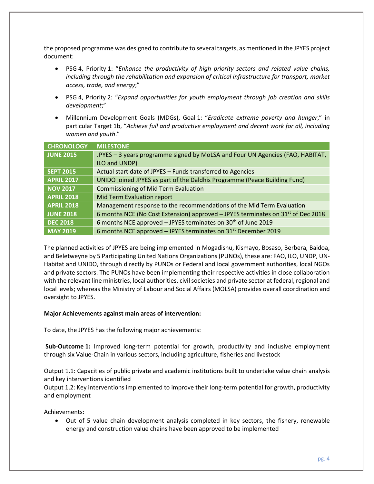the proposed programme was designed to contribute to several targets, as mentioned in the JPYES project document:

- PSG 4, Priority 1: "*Enhance the productivity of high priority sectors and related value chains, including through the rehabilitation and expansion of critical infrastructure for transport, market access, trade, and energy*;"
- PSG 4, Priority 2: "*Expand opportunities for youth employment through job creation and skills development*;"
- Millennium Development Goals (MDGs), Goal 1: "*Eradicate extreme poverty and hunger*," in particular Target 1b, "*Achieve full and productive employment and decent work for all, including women and youth*."

| <b>CHRONOLOGY</b> | <b>MILESTONE</b>                                                                             |
|-------------------|----------------------------------------------------------------------------------------------|
| <b>JUNE 2015</b>  | JPYES - 3 years programme signed by MoLSA and Four UN Agencies (FAO, HABITAT,                |
|                   | ILO and UNDP)                                                                                |
| <b>SEPT 2015</b>  | Actual start date of JPYES - Funds transferred to Agencies                                   |
| <b>APRIL 2017</b> | UNIDO joined JPYES as part of the Daldhis Programme (Peace Building Fund)                    |
| <b>NOV 2017</b>   | <b>Commissioning of Mid Term Evaluation</b>                                                  |
| <b>APRIL 2018</b> | Mid Term Evaluation report                                                                   |
| <b>APRIL 2018</b> | Management response to the recommendations of the Mid Term Evaluation                        |
| <b>JUNE 2018</b>  | 6 months NCE (No Cost Extension) approved - JPYES terminates on 31 <sup>st</sup> of Dec 2018 |
| <b>DEC 2018</b>   | 6 months NCE approved $-$ JPYES terminates on 30 <sup>th</sup> of June 2019                  |
| <b>MAY 2019</b>   | 6 months NCE approved $-$ JPYES terminates on 31 <sup>st</sup> December 2019                 |

The planned activities of JPYES are being implemented in Mogadishu, Kismayo, Bosaso, Berbera, Baidoa, and Beletweyne by 5 Participating United Nations Organizations (PUNOs), these are: FAO, ILO, UNDP, UN-Habitat and UNIDO, through directly by PUNOs or Federal and local government authorities, local NGOs and private sectors. The PUNOs have been implementing their respective activities in close collaboration with the relevant line ministries, local authorities, civil societies and private sector at federal, regional and local levels; whereas the Ministry of Labour and Social Affairs (MOLSA) provides overall coordination and oversight to JPYES.

# **Major Achievements against main areas of intervention:**

To date, the JPYES has the following major achievements:

**Sub-Outcome 1:** Improved long-term potential for growth, productivity and inclusive employment through six Value-Chain in various sectors, including agriculture, fisheries and livestock

Output 1.1: Capacities of public private and academic institutions built to undertake value chain analysis and key interventions identified

Output 1.2: Key interventions implemented to improve their long-term potential for growth, productivity and employment

Achievements:

• Out of 5 value chain development analysis completed in key sectors, the fishery, renewable energy and construction value chains have been approved to be implemented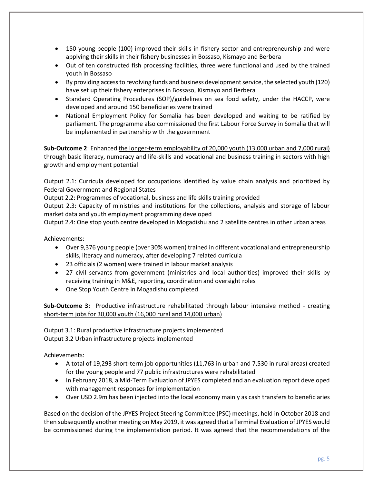- 150 young people (100) improved their skills in fishery sector and entrepreneurship and were applying their skills in their fishery businesses in Bossaso, Kismayo and Berbera
- Out of ten constructed fish processing facilities, three were functional and used by the trained youth in Bossaso
- By providing access to revolving funds and business development service, the selected youth (120) have set up their fishery enterprises in Bossaso, Kismayo and Berbera
- Standard Operating Procedures (SOP)/guidelines on sea food safety, under the HACCP, were developed and around 150 beneficiaries were trained
- National Employment Policy for Somalia has been developed and waiting to be ratified by parliament. The programme also commissioned the first Labour Force Survey in Somalia that will be implemented in partnership with the government

**Sub-Outcome 2**: Enhanced the longer-term employability of 20,000 youth (13,000 urban and 7,000 rural) through basic literacy, numeracy and life-skills and vocational and business training in sectors with high growth and employment potential

Output 2.1: Curricula developed for occupations identified by value chain analysis and prioritized by Federal Government and Regional States

Output 2.2: Programmes of vocational, business and life skills training provided

Output 2.3: Capacity of ministries and institutions for the collections, analysis and storage of labour market data and youth employment programming developed

Output 2.4: One stop youth centre developed in Mogadishu and 2 satellite centres in other urban areas

Achievements:

- Over 9,376 young people (over 30% women) trained in different vocational and entrepreneurship skills, literacy and numeracy, after developing 7 related curricula
- 23 officials (2 women) were trained in labour market analysis
- 27 civil servants from government (ministries and local authorities) improved their skills by receiving training in M&E, reporting, coordination and oversight roles
- One Stop Youth Centre in Mogadishu completed

**Sub-Outcome 3:** Productive infrastructure rehabilitated through labour intensive method - creating short-term jobs for 30,000 youth (16,000 rural and 14,000 urban)

Output 3.1: Rural productive infrastructure projects implemented Output 3.2 Urban infrastructure projects implemented

Achievements:

- A total of 19,293 short-term job opportunities (11,763 in urban and 7,530 in rural areas) created for the young people and 77 public infrastructures were rehabilitated
- In February 2018, a Mid-Term Evaluation of JPYES completed and an evaluation report developed with management responses for implementation
- Over USD 2.9m has been injected into the local economy mainly as cash transfers to beneficiaries

Based on the decision of the JPYES Project Steering Committee (PSC) meetings, held in October 2018 and then subsequently another meeting on May 2019, it was agreed that a Terminal Evaluation of JPYES would be commissioned during the implementation period. It was agreed that the recommendations of the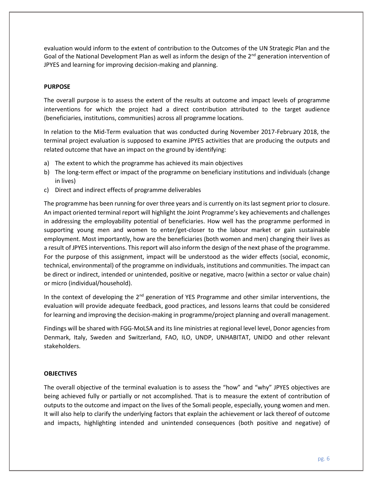evaluation would inform to the extent of contribution to the Outcomes of the UN Strategic Plan and the Goal of the National Development Plan as well as inform the design of the  $2^{nd}$  generation intervention of JPYES and learning for improving decision-making and planning.

# **PURPOSE**

The overall purpose is to assess the extent of the results at outcome and impact levels of programme interventions for which the project had a direct contribution attributed to the target audience (beneficiaries, institutions, communities) across all programme locations.

In relation to the Mid-Term evaluation that was conducted during November 2017-February 2018, the terminal project evaluation is supposed to examine JPYES activities that are producing the outputs and related outcome that have an impact on the ground by identifying:

- a) The extent to which the programme has achieved its main objectives
- b) The long-term effect or impact of the programme on beneficiary institutions and individuals (change in lives)
- c) Direct and indirect effects of programme deliverables

The programme has been running for over three years and is currently on its last segment prior to closure. An impact oriented terminal report will highlight the Joint Programme's key achievements and challenges in addressing the employability potential of beneficiaries. How well has the programme performed in supporting young men and women to enter/get-closer to the labour market or gain sustainable employment. Most importantly, how are the beneficiaries (both women and men) changing their lives as a result of JPYES interventions. This report will also inform the design of the next phase of the programme. For the purpose of this assignment, impact will be understood as the wider effects (social, economic, technical, environmental) of the programme on individuals, institutions and communities. The impact can be direct or indirect, intended or unintended, positive or negative, macro (within a sector or value chain) or micro (individual/household).

In the context of developing the  $2<sup>nd</sup>$  generation of YES Programme and other similar interventions, the evaluation will provide adequate feedback, good practices, and lessons learns that could be considered for learning and improving the decision-making in programme/project planning and overall management.

Findings will be shared with FGG-MoLSA and its line ministries at regional level level, Donor agencies from Denmark, Italy, Sweden and Switzerland, FAO, ILO, UNDP, UNHABITAT, UNIDO and other relevant stakeholders.

# **OBJECTIVES**

The overall objective of the terminal evaluation is to assess the "how" and "why" JPYES objectives are being achieved fully or partially or not accomplished. That is to measure the extent of contribution of outputs to the outcome and impact on the lives of the Somali people, especially, young women and men. It will also help to clarify the underlying factors that explain the achievement or lack thereof of outcome and impacts, highlighting intended and unintended consequences (both positive and negative) of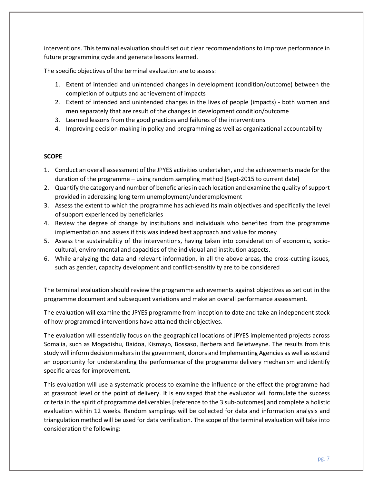interventions. This terminal evaluation should set out clear recommendations to improve performance in future programming cycle and generate lessons learned.

The specific objectives of the terminal evaluation are to assess:

- 1. Extent of intended and unintended changes in development (condition/outcome) between the completion of outputs and achievement of impacts
- 2. Extent of intended and unintended changes in the lives of people (impacts) both women and men separately that are result of the changes in development condition/outcome
- 3. Learned lessons from the good practices and failures of the interventions
- 4. Improving decision-making in policy and programming as well as organizational accountability

# **SCOPE**

- 1. Conduct an overall assessment of the JPYES activities undertaken, and the achievements made for the duration of the programme – using random sampling method [Sept-2015 to current date]
- 2. Quantify the category and number of beneficiaries in each location and examine the quality of support provided in addressing long term unemployment/underemployment
- 3. Assess the extent to which the programme has achieved its main objectives and specifically the level of support experienced by beneficiaries
- 4. Review the degree of change by institutions and individuals who benefited from the programme implementation and assess if this was indeed best approach and value for money
- 5. Assess the sustainability of the interventions, having taken into consideration of economic, sociocultural, environmental and capacities of the individual and institution aspects.
- 6. While analyzing the data and relevant information, in all the above areas, the cross-cutting issues, such as gender, capacity development and conflict-sensitivity are to be considered

The terminal evaluation should review the programme achievements against objectives as set out in the programme document and subsequent variations and make an overall performance assessment.

The evaluation will examine the JPYES programme from inception to date and take an independent stock of how programmed interventions have attained their objectives.

The evaluation will essentially focus on the geographical locations of JPYES implemented projects across Somalia, such as Mogadishu, Baidoa, Kismayo, Bossaso, Berbera and Beletweyne. The results from this study will inform decision makers in the government, donors and Implementing Agencies as well as extend an opportunity for understanding the performance of the programme delivery mechanism and identify specific areas for improvement.

This evaluation will use a systematic process to examine the influence or the effect the programme had at grassroot level or the point of delivery. It is envisaged that the evaluator will formulate the success criteria in the spirit of programme deliverables [reference to the 3 sub-outcomes] and complete a holistic evaluation within 12 weeks. Random samplings will be collected for data and information analysis and triangulation method will be used for data verification. The scope of the terminal evaluation will take into consideration the following: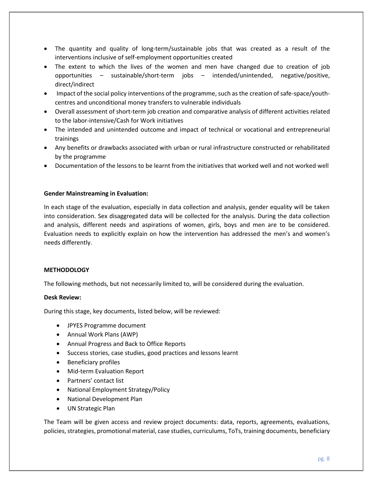- The quantity and quality of long-term/sustainable jobs that was created as a result of the interventions inclusive of self-employment opportunities created
- The extent to which the lives of the women and men have changed due to creation of job opportunities – sustainable/short-term jobs – intended/unintended, negative/positive, direct/indirect
- Impact of the social policy interventions of the programme, such as the creation of safe-space/youthcentres and unconditional money transfers to vulnerable individuals
- Overall assessment of short-term job creation and comparative analysis of different activities related to the labor-intensive/Cash for Work initiatives
- The intended and unintended outcome and impact of technical or vocational and entrepreneurial trainings
- Any benefits or drawbacks associated with urban or rural infrastructure constructed or rehabilitated by the programme
- Documentation of the lessons to be learnt from the initiatives that worked well and not worked well

# **Gender Mainstreaming in Evaluation:**

In each stage of the evaluation, especially in data collection and analysis, gender equality will be taken into consideration. Sex disaggregated data will be collected for the analysis. During the data collection and analysis, different needs and aspirations of women, girls, boys and men are to be considered. Evaluation needs to explicitly explain on how the intervention has addressed the men's and women's needs differently.

# **METHODOLOGY**

The following methods, but not necessarily limited to, will be considered during the evaluation.

# **Desk Review:**

During this stage, key documents, listed below, will be reviewed:

- JPYES Programme document
- Annual Work Plans (AWP)
- Annual Progress and Back to Office Reports
- Success stories, case studies, good practices and lessons learnt
- Beneficiary profiles
- Mid-term Evaluation Report
- Partners' contact list
- National Employment Strategy/Policy
- National Development Plan
- UN Strategic Plan

The Team will be given access and review project documents: data, reports, agreements, evaluations, policies, strategies, promotional material, case studies, curriculums, ToTs, training documents, beneficiary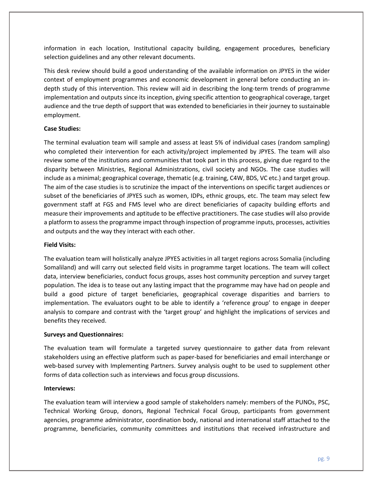information in each location, Institutional capacity building, engagement procedures, beneficiary selection guidelines and any other relevant documents.

This desk review should build a good understanding of the available information on JPYES in the wider context of employment programmes and economic development in general before conducting an indepth study of this intervention. This review will aid in describing the long-term trends of programme implementation and outputs since its inception, giving specific attention to geographical coverage, target audience and the true depth of support that was extended to beneficiaries in their journey to sustainable employment.

# **Case Studies:**

The terminal evaluation team will sample and assess at least 5% of individual cases (random sampling) who completed their intervention for each activity/project implemented by JPYES. The team will also review some of the institutions and communities that took part in this process, giving due regard to the disparity between Ministries, Regional Administrations, civil society and NGOs. The case studies will include as a minimal; geographical coverage, thematic (e.g. training, C4W, BDS, VC etc.) and target group. The aim of the case studies is to scrutinize the impact of the interventions on specific target audiences or subset of the beneficiaries of JPYES such as women, IDPs, ethnic groups, etc. The team may select few government staff at FGS and FMS level who are direct beneficiaries of capacity building efforts and measure their improvements and aptitude to be effective practitioners. The case studies will also provide a platform to assess the programme impact through inspection of programme inputs, processes, activities and outputs and the way they interact with each other.

# **Field Visits:**

The evaluation team will holistically analyze JPYES activities in all target regions across Somalia (including Somaliland) and will carry out selected field visits in programme target locations. The team will collect data, interview beneficiaries, conduct focus groups, asses host community perception and survey target population. The idea is to tease out any lasting impact that the programme may have had on people and build a good picture of target beneficiaries, geographical coverage disparities and barriers to implementation. The evaluators ought to be able to identify a 'reference group' to engage in deeper analysis to compare and contrast with the 'target group' and highlight the implications of services and benefits they received.

# **Surveys and Questionnaires:**

The evaluation team will formulate a targeted survey questionnaire to gather data from relevant stakeholders using an effective platform such as paper-based for beneficiaries and email interchange or web-based survey with Implementing Partners. Survey analysis ought to be used to supplement other forms of data collection such as interviews and focus group discussions.

# **Interviews:**

The evaluation team will interview a good sample of stakeholders namely: members of the PUNOs, PSC, Technical Working Group, donors, Regional Technical Focal Group, participants from government agencies, programme administrator, coordination body, national and international staff attached to the programme, beneficiaries, community committees and institutions that received infrastructure and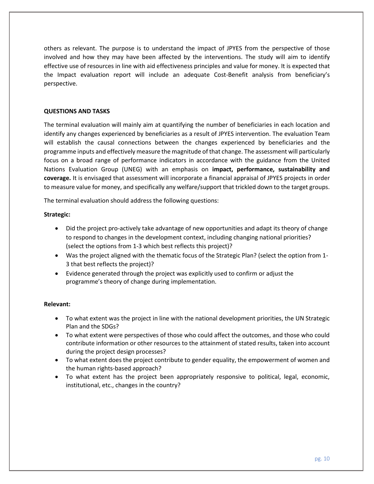others as relevant. The purpose is to understand the impact of JPYES from the perspective of those involved and how they may have been affected by the interventions. The study will aim to identify effective use of resources in line with aid effectiveness principles and value for money. It is expected that the Impact evaluation report will include an adequate Cost-Benefit analysis from beneficiary's perspective.

# **QUESTIONS AND TASKS**

The terminal evaluation will mainly aim at quantifying the number of beneficiaries in each location and identify any changes experienced by beneficiaries as a result of JPYES intervention. The evaluation Team will establish the causal connections between the changes experienced by beneficiaries and the programme inputs and effectively measure the magnitude of that change. The assessment will particularly focus on a broad range of performance indicators in accordance with the guidance from the United Nations Evaluation Group (UNEG) with an emphasis on **impact, performance, sustainability and coverage.** It is envisaged that assessment will incorporate a financial appraisal of JPYES projects in order to measure value for money, and specifically any welfare/support that trickled down to the target groups.

The terminal evaluation should address the following questions:

# **Strategic:**

- Did the project pro-actively take advantage of new opportunities and adapt its theory of change to respond to changes in the development context, including changing national priorities? (select the options from 1-3 which best reflects this project)?
- Was the project aligned with the thematic focus of the Strategic Plan? (select the option from 1- 3 that best reflects the project)?
- Evidence generated through the project was explicitly used to confirm or adjust the programme's theory of change during implementation.

# **Relevant:**

- To what extent was the project in line with the national development priorities, the UN Strategic Plan and the SDGs?
- To what extent were perspectives of those who could affect the outcomes, and those who could contribute information or other resources to the attainment of stated results, taken into account during the project design processes?
- To what extent does the project contribute to gender equality, the empowerment of women and the human rights-based approach?
- To what extent has the project been appropriately responsive to political, legal, economic, institutional, etc., changes in the country?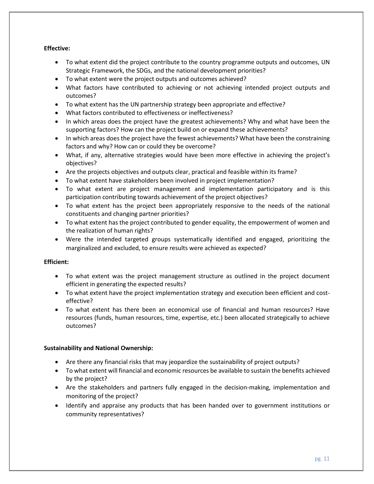# **Effective:**

- To what extent did the project contribute to the country programme outputs and outcomes, UN Strategic Framework, the SDGs, and the national development priorities?
- To what extent were the project outputs and outcomes achieved?
- What factors have contributed to achieving or not achieving intended project outputs and outcomes?
- To what extent has the UN partnership strategy been appropriate and effective?
- What factors contributed to effectiveness or ineffectiveness?
- In which areas does the project have the greatest achievements? Why and what have been the supporting factors? How can the project build on or expand these achievements?
- In which areas does the project have the fewest achievements? What have been the constraining factors and why? How can or could they be overcome?
- What, if any, alternative strategies would have been more effective in achieving the project's objectives?
- Are the projects objectives and outputs clear, practical and feasible within its frame?
- To what extent have stakeholders been involved in project implementation?
- To what extent are project management and implementation participatory and is this participation contributing towards achievement of the project objectives?
- To what extent has the project been appropriately responsive to the needs of the national constituents and changing partner priorities?
- To what extent has the project contributed to gender equality, the empowerment of women and the realization of human rights?
- Were the intended targeted groups systematically identified and engaged, prioritizing the marginalized and excluded, to ensure results were achieved as expected?

# **Efficient:**

- To what extent was the project management structure as outlined in the project document efficient in generating the expected results?
- To what extent have the project implementation strategy and execution been efficient and costeffective?
- To what extent has there been an economical use of financial and human resources? Have resources (funds, human resources, time, expertise, etc.) been allocated strategically to achieve outcomes?

# **Sustainability and National Ownership:**

- Are there any financial risks that may jeopardize the sustainability of project outputs?
- To what extent will financial and economic resources be available to sustain the benefits achieved by the project?
- Are the stakeholders and partners fully engaged in the decision-making, implementation and monitoring of the project?
- Identify and appraise any products that has been handed over to government institutions or community representatives?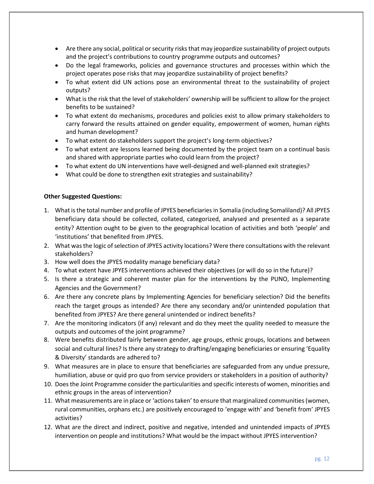- Are there any social, political or security risks that may jeopardize sustainability of project outputs and the project's contributions to country programme outputs and outcomes?
- Do the legal frameworks, policies and governance structures and processes within which the project operates pose risks that may jeopardize sustainability of project benefits?
- To what extent did UN actions pose an environmental threat to the sustainability of project outputs?
- What is the risk that the level of stakeholders' ownership will be sufficient to allow for the project benefits to be sustained?
- To what extent do mechanisms, procedures and policies exist to allow primary stakeholders to carry forward the results attained on gender equality, empowerment of women, human rights and human development?
- To what extent do stakeholders support the project's long-term objectives?
- To what extent are lessons learned being documented by the project team on a continual basis and shared with appropriate parties who could learn from the project?
- To what extent do UN interventions have well-designed and well-planned exit strategies?
- What could be done to strengthen exit strategies and sustainability?

# **Other Suggested Questions:**

- 1. What is the total number and profile of JPYES beneficiariesin Somalia (including Somaliland)? All JPYES beneficiary data should be collected, collated, categorized, analysed and presented as a separate entity? Attention ought to be given to the geographical location of activities and both 'people' and 'institutions' that benefited from JPYES.
- 2. What was the logic of selection of JPYES activity locations? Were there consultations with the relevant stakeholders?
- 3. How well does the JPYES modality manage beneficiary data?
- 4. To what extent have JPYES interventions achieved their objectives (or will do so in the future)?
- 5. Is there a strategic and coherent master plan for the interventions by the PUNO, Implementing Agencies and the Government?
- 6. Are there any concrete plans by Implementing Agencies for beneficiary selection? Did the benefits reach the target groups as intended? Are there any secondary and/or unintended population that benefited from JPYES? Are there general unintended or indirect benefits?
- 7. Are the monitoring indicators (if any) relevant and do they meet the quality needed to measure the outputs and outcomes of the joint programme?
- 8. Were benefits distributed fairly between gender, age groups, ethnic groups, locations and between social and cultural lines? Is there any strategy to drafting/engaging beneficiaries or ensuring 'Equality & Diversity' standards are adhered to?
- 9. What measures are in place to ensure that beneficiaries are safeguarded from any undue pressure, humiliation, abuse or quid pro quo from service providers or stakeholders in a position of authority?
- 10. Does the Joint Programme consider the particularities and specific interests of women, minorities and ethnic groups in the areas of intervention?
- 11. What measurements are in place or 'actions taken' to ensure that marginalized communities (women, rural communities, orphans etc.) are positively encouraged to 'engage with' and 'benefit from' JPYES activities?
- 12. What are the direct and indirect, positive and negative, intended and unintended impacts of JPYES intervention on people and institutions? What would be the impact without JPYES intervention?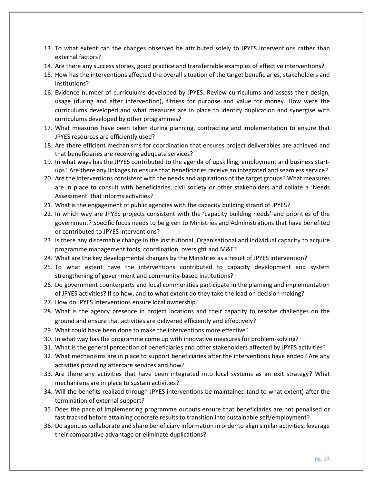- 13. To what extent can the changes observed be attributed solely to JPYES interventions rather than external factors?
- 14. Are there any success stories, good practice and transferrable examples of effective interventions?
- 15. How has the interventions affected the overall situation of the target beneficiaries, stakeholders and institutions?
- 16. Evidence number of curriculums developed by JPYES. Review curriculums and assess their design, usage (during and after intervention), fitness for purpose and value for money. How were the curriculums developed and what measures are in place to identify duplication and synergise with curriculums developed by other programmes?
- 17. What measures have been taken during planning, contracting and implementation to ensure that JPYES resources are efficiently used?
- 18. Are there efficient mechanisms for coordination that ensures project deliverables are achieved and that beneficiaries are receiving adequate services?
- 19. In what ways has the JPYES contributed to the agenda of upskilling, employment and business startups? Are there any linkages to ensure that beneficiaries receive an integrated and seamless service?
- 20. Are the interventions consistent with the needs and aspirations of the target groups? What measures are in place to consult with beneficiaries, civil society or other stakeholders and collate a 'Needs Assessment' that informs activities?
- 21. What is the engagement of public agencies with the capacity building strand of JPYES?
- 22. In which way are JPYES projects consistent with the 'capacity building needs' and priorities of the government? Specific focus needs to be given to Ministries and Administrations that have benefited or contributed to JPYES interventions?
- 23. Is there any discernable change in the institutional, Organisational and individual capacity to acquire programme management tools, coordination, oversight and M&E?
- 24. What are the key developmental changes by the Ministries as a result of JPYES intervention?
- 25. To what extent have the interventions contributed to capacity development and system strengthening of government and community-based institutions?
- 26. Do government counterparts and local communities participate in the planning and implementation of JPYES activities? If so how, and to what extent do they take the lead on decision making?
- 27. How do JPYES interventions ensure local ownership?
- 28. What is the agency presence in project locations and their capacity to resolve challenges on the ground and ensure that activities are delivered efficiently and effectively?
- 29. What could have been done to make the interventions more effective?
- 30. In what way has the programme come up with innovative measures for problem-solving?
- 31. What is the general perception of beneficiaries and other stakeholders affected by JPYES activities?
- 32. What mechanisms are in place to support beneficiaries after the interventions have ended? Are any activities providing aftercare services and how?
- 33. Are there any activities that have been integrated into local systems as an exit strategy? What mechanisms are in place to sustain activities?
- 34. Will the benefits realized through JPYES interventions be maintained (and to what extent) after the termination of external support?
- 35. Does the pace of implementing programme outputs ensure that beneficiaries are not penalised or fast tracked before attaining concrete results to transition into sustainable self/employment?
- 36. Do agencies collaborate and share beneficiary information in order to align similar activities, leverage their comparative advantage or eliminate duplications?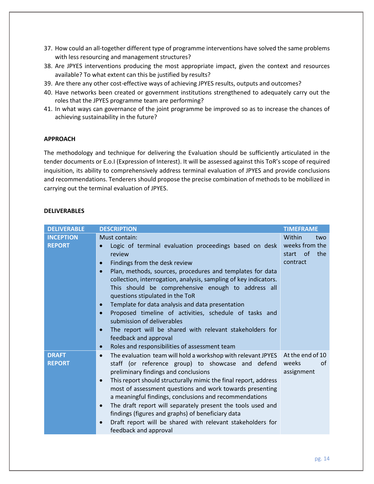- 37. How could an all-together different type of programme interventions have solved the same problems with less resourcing and management structures?
- 38. Are JPYES interventions producing the most appropriate impact, given the context and resources available? To what extent can this be justified by results?
- 39. Are there any other cost-effective ways of achieving JPYES results, outputs and outcomes?
- 40. Have networks been created or government institutions strengthened to adequately carry out the roles that the JPYES programme team are performing?
- 41. In what ways can governance of the joint programme be improved so as to increase the chances of achieving sustainability in the future?

# **APPROACH**

The methodology and technique for delivering the Evaluation should be sufficiently articulated in the tender documents or E.o.I (Expression of Interest). It will be assessed against this ToR's scope of required inquisition, its ability to comprehensively address terminal evaluation of JPYES and provide conclusions and recommendations. Tenderers should propose the precise combination of methods to be mobilized in carrying out the terminal evaluation of JPYES.

# **DELIVERABLES**

| <b>DELIVERABLE</b>                | <b>DESCRIPTION</b>                                                                                                                                                                                                                                                                                                                                                                                                                                                                                                                                                                                                                                                                 | <b>TIMEFRAME</b>                                                             |
|-----------------------------------|------------------------------------------------------------------------------------------------------------------------------------------------------------------------------------------------------------------------------------------------------------------------------------------------------------------------------------------------------------------------------------------------------------------------------------------------------------------------------------------------------------------------------------------------------------------------------------------------------------------------------------------------------------------------------------|------------------------------------------------------------------------------|
| <b>INCEPTION</b><br><b>REPORT</b> | Must contain:<br>Logic of terminal evaluation proceedings based on desk<br>review<br>Findings from the desk review<br>$\bullet$<br>Plan, methods, sources, procedures and templates for data<br>$\bullet$<br>collection, interrogation, analysis, sampling of key indicators.<br>This should be comprehensive enough to address all<br>questions stipulated in the ToR<br>Template for data analysis and data presentation<br>$\bullet$<br>Proposed timeline of activities, schedule of tasks and<br>submission of deliverables<br>The report will be shared with relevant stakeholders for<br>feedback and approval<br>Roles and responsibilities of assessment team<br>$\bullet$ | Within<br>two<br>weeks from the<br><sub>of</sub><br>the<br>start<br>contract |
| <b>DRAFT</b><br><b>REPORT</b>     | The evaluation team will hold a workshop with relevant JPYES<br>$\bullet$<br>staff (or reference group) to showcase and defend<br>preliminary findings and conclusions<br>This report should structurally mimic the final report, address<br>$\bullet$<br>most of assessment questions and work towards presenting<br>a meaningful findings, conclusions and recommendations<br>The draft report will separately present the tools used and<br>$\bullet$<br>findings (figures and graphs) of beneficiary data<br>Draft report will be shared with relevant stakeholders for<br>$\bullet$<br>feedback and approval                                                                  | At the end of 10<br>weeks<br>of<br>assignment                                |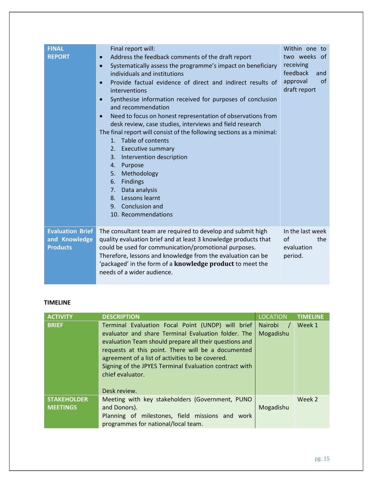| <b>FINAL</b><br><b>REPORT</b>                               | Final report will:<br>Address the feedback comments of the draft report<br>$\bullet$<br>Systematically assess the programme's impact on beneficiary<br>$\bullet$<br>individuals and institutions<br>Provide factual evidence of direct and indirect results of<br>$\bullet$<br>interventions<br>Synthesise information received for purposes of conclusion<br>$\bullet$<br>and recommendation<br>Need to focus on honest representation of observations from<br>$\bullet$<br>desk review, case studies, interviews and field research<br>The final report will consist of the following sections as a minimal:<br>1. Table of contents<br>Executive summary<br>2.<br>Intervention description<br>3.<br>Purpose<br>4.<br>Methodology<br>5.<br>Findings<br>6.<br>Data analysis<br>7.<br>8. Lessons learnt<br>9. Conclusion and<br>10. Recommendations | Within one to<br>two weeks of<br>receiving<br>feedback<br>and<br>approval<br>of<br>draft report |
|-------------------------------------------------------------|-----------------------------------------------------------------------------------------------------------------------------------------------------------------------------------------------------------------------------------------------------------------------------------------------------------------------------------------------------------------------------------------------------------------------------------------------------------------------------------------------------------------------------------------------------------------------------------------------------------------------------------------------------------------------------------------------------------------------------------------------------------------------------------------------------------------------------------------------------|-------------------------------------------------------------------------------------------------|
| <b>Evaluation Brief</b><br>and Knowledge<br><b>Products</b> | The consultant team are required to develop and submit high<br>quality evaluation brief and at least 3 knowledge products that<br>could be used for communication/promotional purposes.<br>Therefore, lessons and knowledge from the evaluation can be<br>'packaged' in the form of a knowledge product to meet the<br>needs of a wider audience.                                                                                                                                                                                                                                                                                                                                                                                                                                                                                                   | In the last week<br>$\alpha$ f<br>the<br>evaluation<br>period.                                  |

# **TIMELINE**

| <b>ACTIVITY</b>                       | <b>DESCRIPTION</b>                                                                                                                                                                                                                                                                                                                                                         | <b>LOCATION</b>                        | <b>TIMELINE</b> |
|---------------------------------------|----------------------------------------------------------------------------------------------------------------------------------------------------------------------------------------------------------------------------------------------------------------------------------------------------------------------------------------------------------------------------|----------------------------------------|-----------------|
| <b>BRIEF</b>                          | Terminal Evaluation Focal Point (UNDP) will brief<br>evaluator and share Terminal Evaluation folder. The<br>evaluation Team should prepare all their questions and<br>requests at this point. There will be a documented<br>agreement of a list of activities to be covered.<br>Signing of the JPYES Terminal Evaluation contract with<br>chief evaluator.<br>Desk review. | $\blacksquare$<br>Nairobi<br>Mogadishu | Week 1          |
| <b>STAKEHOLDER</b><br><b>MEETINGS</b> | Meeting with key stakeholders (Government, PUNO<br>and Donors).<br>Planning of milestones, field missions and work<br>programmes for national/local team.                                                                                                                                                                                                                  | Mogadishu                              | Week 2          |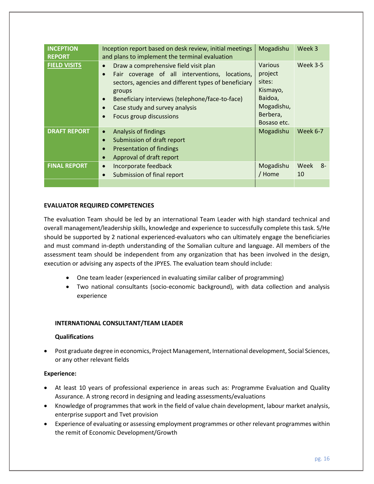| <b>INCEPTION</b><br><b>REPORT</b> | Inception report based on desk review, initial meetings<br>and plans to implement the terminal evaluation                                                                                                                                                                                                        | Mogadishu                                                                                           | Week 3           |
|-----------------------------------|------------------------------------------------------------------------------------------------------------------------------------------------------------------------------------------------------------------------------------------------------------------------------------------------------------------|-----------------------------------------------------------------------------------------------------|------------------|
| <b>FIELD VISITS</b>               | Draw a comprehensive field visit plan<br>$\bullet$<br>Fair coverage of all interventions, locations,<br>$\bullet$<br>sectors, agencies and different types of beneficiary<br>groups<br>Beneficiary interviews (telephone/face-to-face)<br>$\bullet$<br>Case study and survey analysis<br>Focus group discussions | <b>Various</b><br>project<br>sites:<br>Kismayo,<br>Baidoa,<br>Mogadishu,<br>Berbera,<br>Bosaso etc. | <b>Week 3-5</b>  |
| <b>DRAFT REPORT</b>               | Analysis of findings<br>$\bullet$<br>Submission of draft report<br>$\bullet$<br>Presentation of findings<br>$\bullet$<br>Approval of draft report<br>$\bullet$                                                                                                                                                   | Mogadishu                                                                                           | <b>Week 6-7</b>  |
| <b>FINAL REPORT</b>               | Incorporate feedback<br>$\bullet$<br>Submission of final report<br>$\bullet$                                                                                                                                                                                                                                     | Mogadishu<br>/ Home                                                                                 | Week<br>-8<br>10 |
|                                   |                                                                                                                                                                                                                                                                                                                  |                                                                                                     |                  |

# **EVALUATOR REQUIRED COMPETENCIES**

The evaluation Team should be led by an international Team Leader with high standard technical and overall management/leadership skills, knowledge and experience to successfully complete this task. S/He should be supported by 2 national experienced-evaluators who can ultimately engage the beneficiaries and must command in-depth understanding of the Somalian culture and language. All members of the assessment team should be independent from any organization that has been involved in the design, execution or advising any aspects of the JPYES. The evaluation team should include:

- One team leader (experienced in evaluating similar caliber of programming)
- Two national consultants (socio-economic background), with data collection and analysis experience

# **INTERNATIONAL CONSULTANT/TEAM LEADER**

# **Qualifications**

• Post graduate degree in economics, Project Management, International development, Social Sciences, or any other relevant fields

# **Experience:**

- At least 10 years of professional experience in areas such as: Programme Evaluation and Quality Assurance. A strong record in designing and leading assessments/evaluations
- Knowledge of programmes that work in the field of value chain development, labour market analysis, enterprise support and Tvet provision
- Experience of evaluating or assessing employment programmes or other relevant programmes within the remit of Economic Development/Growth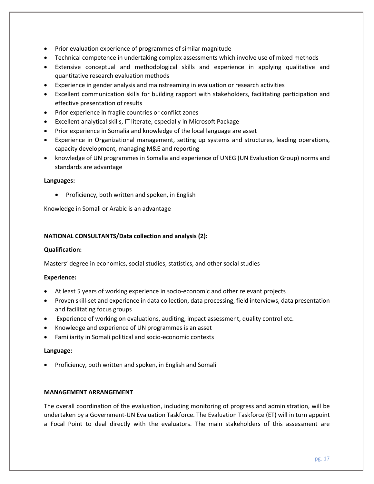- Prior evaluation experience of programmes of similar magnitude
- Technical competence in undertaking complex assessments which involve use of mixed methods
- Extensive conceptual and methodological skills and experience in applying qualitative and quantitative research evaluation methods
- Experience in gender analysis and mainstreaming in evaluation or research activities
- Excellent communication skills for building rapport with stakeholders, facilitating participation and effective presentation of results
- Prior experience in fragile countries or conflict zones
- Excellent analytical skills, IT literate, especially in Microsoft Package
- Prior experience in Somalia and knowledge of the local language are asset
- Experience in Organizational management, setting up systems and structures, leading operations, capacity development, managing M&E and reporting
- knowledge of UN programmes in Somalia and experience of UNEG (UN Evaluation Group) norms and standards are advantage

# **Languages:**

• Proficiency, both written and spoken, in English

Knowledge in Somali or Arabic is an advantage

# **NATIONAL CONSULTANTS/Data collection and analysis (2):**

# **Qualification:**

Masters' degree in economics, social studies, statistics, and other social studies

# **Experience:**

- At least 5 years of working experience in socio-economic and other relevant projects
- Proven skill-set and experience in data collection, data processing, field interviews, data presentation and facilitating focus groups
- Experience of working on evaluations, auditing, impact assessment, quality control etc.
- Knowledge and experience of UN programmes is an asset
- Familiarity in Somali political and socio-economic contexts

# **Language:**

• Proficiency, both written and spoken, in English and Somali

# **MANAGEMENT ARRANGEMENT**

The overall coordination of the evaluation, including monitoring of progress and administration, will be undertaken by a Government-UN Evaluation Taskforce. The Evaluation Taskforce (ET) will in turn appoint a Focal Point to deal directly with the evaluators. The main stakeholders of this assessment are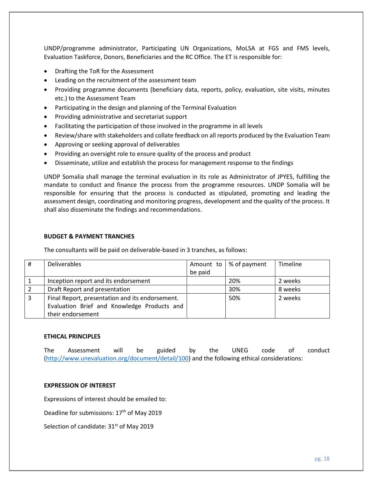UNDP/programme administrator, Participating UN Organizations, MoLSA at FGS and FMS levels, Evaluation Taskforce, Donors, Beneficiaries and the RC Office. The ET is responsible for:

- Drafting the ToR for the Assessment
- Leading on the recruitment of the assessment team
- Providing programme documents (beneficiary data, reports, policy, evaluation, site visits, minutes etc.) to the Assessment Team
- Participating in the design and planning of the Terminal Evaluation
- Providing administrative and secretariat support
- Facilitating the participation of those involved in the programme in all levels
- Review/share with stakeholders and collate feedback on all reports produced by the Evaluation Team
- Approving or seeking approval of deliverables
- Providing an oversight role to ensure quality of the process and product
- Disseminate, utilize and establish the process for management response to the findings

UNDP Somalia shall manage the terminal evaluation in its role as Administrator of JPYES, fulfilling the mandate to conduct and finance the process from the programme resources. UNDP Somalia will be responsible for ensuring that the process is conducted as stipulated, promoting and leading the assessment design, coordinating and monitoring progress, development and the quality of the process. It shall also disseminate the findings and recommendations.

# **BUDGET & PAYMENT TRANCHES**

The consultants will be paid on deliverable-based in 3 tranches, as follows:

| # | <b>Deliverables</b>                             |         | Amount to $\frac{1}{2}$ % of payment | <b>Timeline</b> |
|---|-------------------------------------------------|---------|--------------------------------------|-----------------|
|   |                                                 | be paid |                                      |                 |
|   | Inception report and its endorsement            |         | 20%                                  | 2 weeks         |
|   | Draft Report and presentation                   |         | 30%                                  | 8 weeks         |
|   | Final Report, presentation and its endorsement. |         | 50%                                  | 2 weeks         |
|   | Evaluation Brief and Knowledge Products and     |         |                                      |                 |
|   | their endorsement                               |         |                                      |                 |

# **ETHICAL PRINCIPLES**

The Assessment will be guided by the UNEG code of conduct [\(http://www.unevaluation.org/document/detail/100\)](http://www.unevaluation.org/document/detail/100) and the following ethical considerations:

#### **EXPRESSION OF INTEREST**

Expressions of interest should be emailed to:

Deadline for submissions: 17<sup>th</sup> of May 2019

Selection of candidate: 31<sup>st</sup> of May 2019